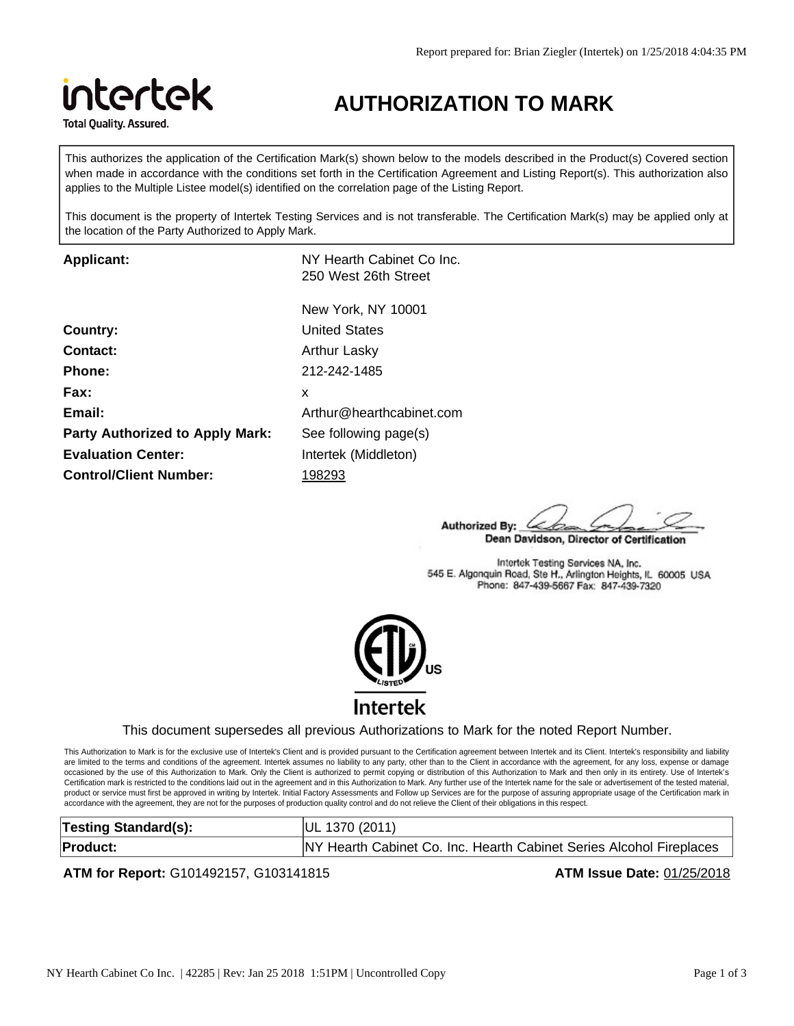

# **AUTHORIZATION TO MARK**

This authorizes the application of the Certification Mark(s) shown below to the models described in the Product(s) Covered section when made in accordance with the conditions set forth in the Certification Agreement and Listing Report(s). This authorization also applies to the Multiple Listee model(s) identified on the correlation page of the Listing Report.

This document is the property of Intertek Testing Services and is not transferable. The Certification Mark(s) may be applied only at the location of the Party Authorized to Apply Mark.

**Applicant:** NY Hearth Cabinet Co Inc. 250 West 26th Street

| <b>Country:</b>                        |    |
|----------------------------------------|----|
| <b>Contact:</b>                        | А  |
| <b>Phone:</b>                          | 2  |
| Fax:                                   | x  |
| Email:                                 | Α  |
| <b>Party Authorized to Apply Mark:</b> | S  |
| <b>Evaluation Center:</b>              | Ir |
| <b>Control/Client Number:</b>          |    |

New York, NY 10001 **United States Contact:** Arthur Lasky **Phone:** 212-242-1485 **Email:** Arthur@hearthcabinet.com **Party See following page(s)** Intertek (Middleton) **Control/Client Number:** 198293

Authorized By: Dean Davidson, Director of Certification

Intertek Testing Services NA, Inc. 545 E. Algonquin Road, Ste H., Arlington Heights, IL 60005 USA Phone: 847-439-5667 Fax: 847-439-7320



### This document supersedes all previous Authorizations to Mark for the noted Report Number.

This Authorization to Mark is for the exclusive use of Intertek's Client and is provided pursuant to the Certification agreement between Intertek and its Client. Intertek's responsibility and liability are limited to the terms and conditions of the agreement. Intertek assumes no liability to any party, other than to the Client in accordance with the agreement, for any loss, expense or damage occasioned by the use of this Authorization to Mark. Only the Client is authorized to permit copying or distribution of this Authorization to Mark and then only in its entirety. Use of Intertek's Certification mark is restricted to the conditions laid out in the agreement and in this Authorization to Mark. Any further use of the Intertek name for the sale or advertisement of the tested material, product or service must first be approved in writing by Intertek. Initial Factory Assessments and Follow up Services are for the purpose of assuring appropriate usage of the Certification mark in accordance with the agreement, they are not for the purposes of production quality control and do not relieve the Client of their obligations in this respect.

| <b>Testing Standard(s):</b> | UL 1370 (2011)                                                      |
|-----------------------------|---------------------------------------------------------------------|
| <b>Product:</b>             | NY Hearth Cabinet Co. Inc. Hearth Cabinet Series Alcohol Fireplaces |

### **ATM for Report:** G101492157, G103141815 **ATM Issue Date:** 01/25/2018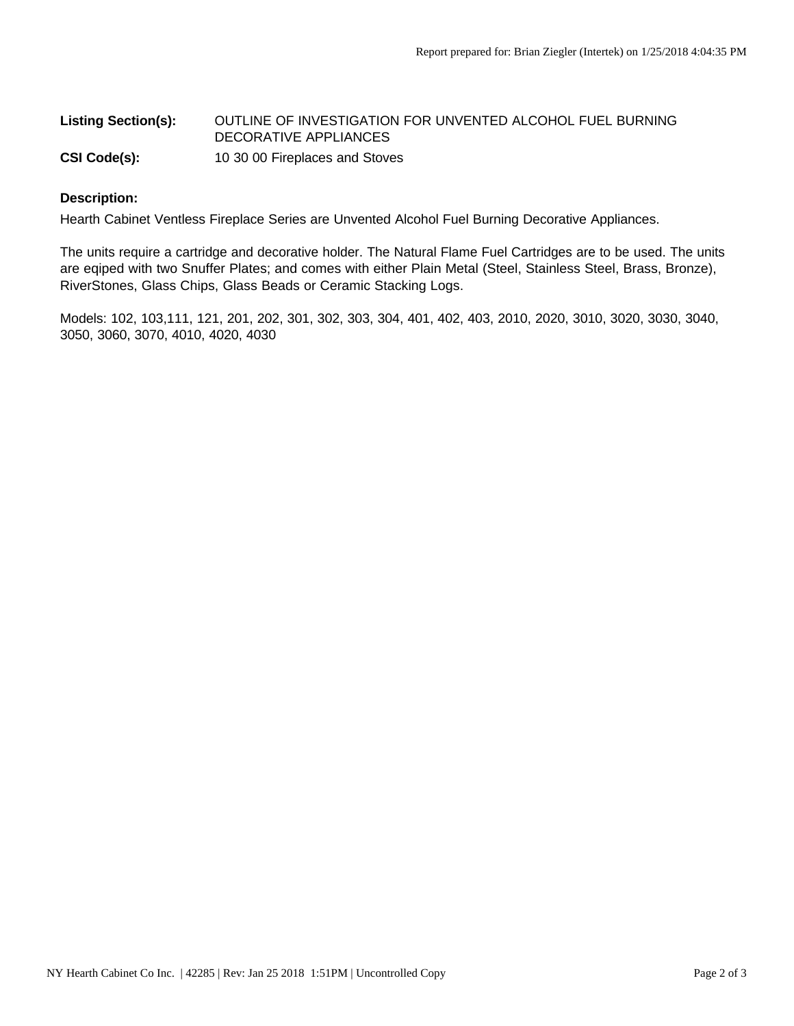# Listing Section(s): OUTLINE OF INVESTIGATION FOR UNVENTED ALCOHOL FUEL BURNING DECORATIVE APPLIANCES **CSI Code(s):** 10 30 00 Fireplaces and Stoves

#### **Description:**

Hearth Cabinet Ventless Fireplace Series are Unvented Alcohol Fuel Burning Decorative Appliances.

The units require a cartridge and decorative holder. The Natural Flame Fuel Cartridges are to be used. The units are eqiped with two Snuffer Plates; and comes with either Plain Metal (Steel, Stainless Steel, Brass, Bronze), RiverStones, Glass Chips, Glass Beads or Ceramic Stacking Logs.

Models: 102, 103,111, 121, 201, 202, 301, 302, 303, 304, 401, 402, 403, 2010, 2020, 3010, 3020, 3030, 3040, 3050, 3060, 3070, 4010, 4020, 4030